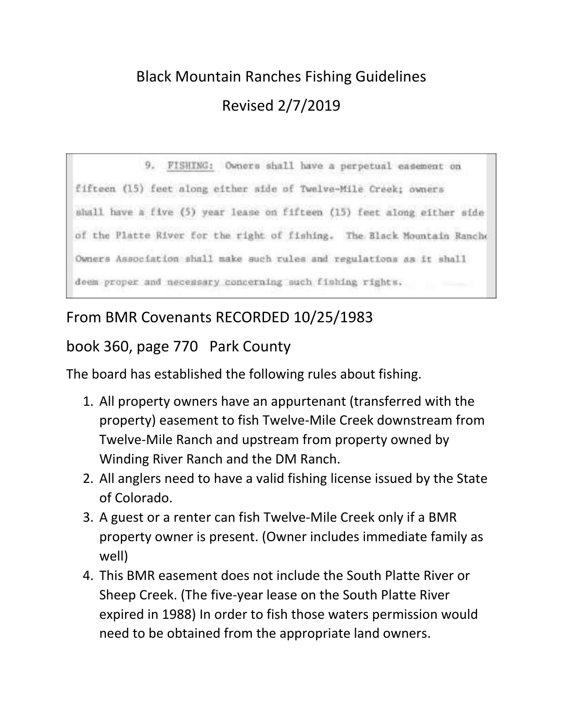## Black Mountain Ranches Fishing Guidelines Revised 2/7/2019

9. FISHING: Owners shall have a perpetual easement on fifteen (15) feet along either side of Twelve-Mile Creek; owners shall have a five (5) year lease on fifteen (15) feet along either side of the Platte River for the right of fishing. The Black Mountain Ranche Owners Association shall make such rules and regulations as it shall deem proper and necessary concerning such fishing rights.

## From BMR Covenants RECORDED 10/25/1983

## book 360, page 770 Park County

The board has established the following rules about fishing.

- 1. All property owners have an appurtenant (transferred with the property) easement to fish Twelve-Mile Creek downstream from Twelve-Mile Ranch and upstream from property owned by Winding River Ranch and the DM Ranch.
- 2. All anglers need to have a valid fishing license issued by the State of Colorado.
- 3. A guest or a renter can fish Twelve-Mile Creek only if a BMR property owner is present. (Owner includes immediate family as well)
- 4. This BMR easement does not include the South Platte River or Sheep Creek. (The five-year lease on the South Platte River expired in 1988) In order to fish those waters permission would need to be obtained from the appropriate land owners.